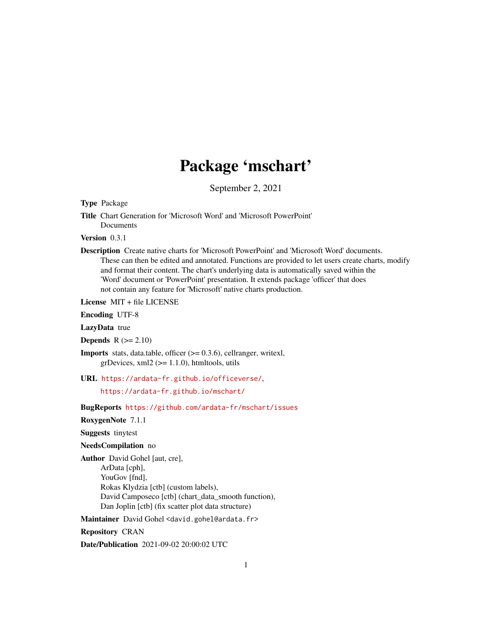# Package 'mschart'

September 2, 2021

<span id="page-0-0"></span>Type Package

Title Chart Generation for 'Microsoft Word' and 'Microsoft PowerPoint' Documents

Version 0.3.1

Description Create native charts for 'Microsoft PowerPoint' and 'Microsoft Word' documents. These can then be edited and annotated. Functions are provided to let users create charts, modify and format their content. The chart's underlying data is automatically saved within the 'Word' document or 'PowerPoint' presentation. It extends package 'officer' that does not contain any feature for 'Microsoft' native charts production.

License MIT + file LICENSE

Encoding UTF-8

LazyData true

**Depends**  $R$  ( $>= 2.10$ )

**Imports** stats, data.table, officer  $(>= 0.3.6)$ , cellranger, writexl,  $grDevices, xml2 (> = 1.1.0), htmtools, utils$ 

URL <https://ardata-fr.github.io/officeverse/>,

<https://ardata-fr.github.io/mschart/>

BugReports <https://github.com/ardata-fr/mschart/issues>

RoxygenNote 7.1.1

Suggests tinytest

#### NeedsCompilation no

Author David Gohel [aut, cre], ArData [cph], YouGov [fnd], Rokas Klydzia [ctb] (custom labels), David Camposeco [ctb] (chart\_data\_smooth function), Dan Joplin [ctb] (fix scatter plot data structure)

Maintainer David Gohel <david.gohel@ardata.fr>

# Repository CRAN

Date/Publication 2021-09-02 20:00:02 UTC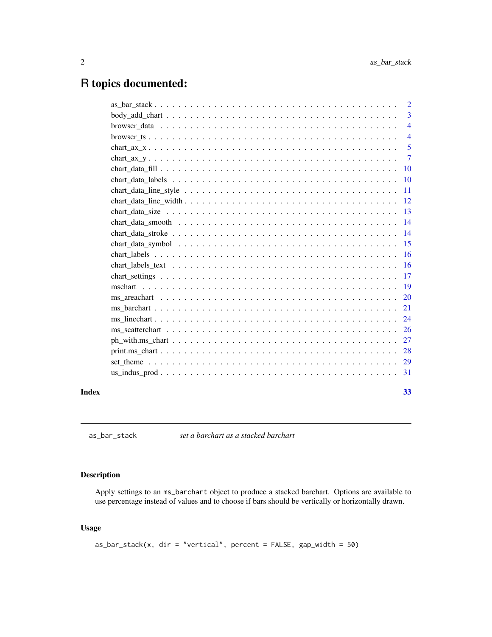# <span id="page-1-0"></span>R topics documented:

|       |                                                                                                                                                                                                                                                                                                                                                                                                                  | 2               |
|-------|------------------------------------------------------------------------------------------------------------------------------------------------------------------------------------------------------------------------------------------------------------------------------------------------------------------------------------------------------------------------------------------------------------------|-----------------|
|       |                                                                                                                                                                                                                                                                                                                                                                                                                  | 3               |
|       |                                                                                                                                                                                                                                                                                                                                                                                                                  | $\overline{4}$  |
|       |                                                                                                                                                                                                                                                                                                                                                                                                                  | $\overline{4}$  |
|       | chart ax $x_1, \ldots, x_n, \ldots, x_n, \ldots, x_n, \ldots, x_n, \ldots, x_n, \ldots, x_n, \ldots, x_n, \ldots, x_n, \ldots, x_n, \ldots, x_n, \ldots, x_n, \ldots, x_n, \ldots, x_n, \ldots, x_n, \ldots, x_n, \ldots, x_n, \ldots, x_n, \ldots, x_n, \ldots, x_n, \ldots, x_n, \ldots, x_n, \ldots, x_n, \ldots, x_n, \ldots, x_n, \ldots, x_n, \ldots, x_n, \ldots, x_n, \ldots, x_n, \ldots, x_n, \ldots,$ | 5               |
|       |                                                                                                                                                                                                                                                                                                                                                                                                                  | $\tau$          |
|       |                                                                                                                                                                                                                                                                                                                                                                                                                  |                 |
|       |                                                                                                                                                                                                                                                                                                                                                                                                                  | $\overline{10}$ |
|       |                                                                                                                                                                                                                                                                                                                                                                                                                  |                 |
|       |                                                                                                                                                                                                                                                                                                                                                                                                                  |                 |
|       |                                                                                                                                                                                                                                                                                                                                                                                                                  |                 |
|       |                                                                                                                                                                                                                                                                                                                                                                                                                  |                 |
|       |                                                                                                                                                                                                                                                                                                                                                                                                                  |                 |
|       |                                                                                                                                                                                                                                                                                                                                                                                                                  | -15             |
|       |                                                                                                                                                                                                                                                                                                                                                                                                                  |                 |
|       |                                                                                                                                                                                                                                                                                                                                                                                                                  |                 |
|       |                                                                                                                                                                                                                                                                                                                                                                                                                  |                 |
|       |                                                                                                                                                                                                                                                                                                                                                                                                                  |                 |
|       |                                                                                                                                                                                                                                                                                                                                                                                                                  |                 |
|       |                                                                                                                                                                                                                                                                                                                                                                                                                  |                 |
|       |                                                                                                                                                                                                                                                                                                                                                                                                                  |                 |
|       |                                                                                                                                                                                                                                                                                                                                                                                                                  |                 |
|       |                                                                                                                                                                                                                                                                                                                                                                                                                  |                 |
|       |                                                                                                                                                                                                                                                                                                                                                                                                                  |                 |
|       |                                                                                                                                                                                                                                                                                                                                                                                                                  |                 |
|       |                                                                                                                                                                                                                                                                                                                                                                                                                  |                 |
| Index |                                                                                                                                                                                                                                                                                                                                                                                                                  | 33              |

as\_bar\_stack *set a barchart as a stacked barchart*

# Description

Apply settings to an ms\_barchart object to produce a stacked barchart. Options are available to use percentage instead of values and to choose if bars should be vertically or horizontally drawn.

# Usage

```
as_bar_stack(x, dir = "vertical", percent = FALSE, gap_width = 50)
```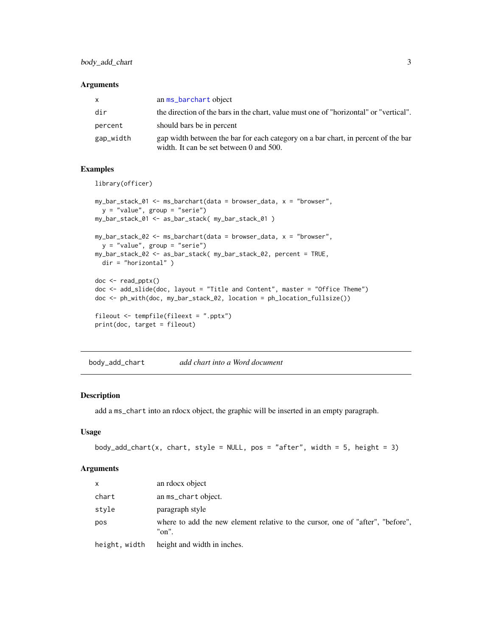#### <span id="page-2-0"></span>Arguments

| X         | an ms_barchart object                                                                                                        |
|-----------|------------------------------------------------------------------------------------------------------------------------------|
| dir       | the direction of the bars in the chart, value must one of "horizontal" or "vertical".                                        |
| percent   | should bars be in percent                                                                                                    |
| gap_width | gap width between the bar for each category on a bar chart, in percent of the bar<br>width. It can be set between 0 and 500. |

#### Examples

library(officer)

```
my_bar_stack_01 <- ms_barchart(data = browser_data, x = "browser",
 y = "value", group = "serie")
my_bar_stack_01 <- as_bar_stack( my_bar_stack_01 )
my_bar_stack_02 <- ms_barchart(data = browser_data, x = "browser",
 y = "value", group = "serie")
my_bar_stack_02 <- as_bar_stack( my_bar_stack_02, percent = TRUE,
 dir = "horizontal" )
doc <- read_pptx()
doc <- add_slide(doc, layout = "Title and Content", master = "Office Theme")
doc <- ph_with(doc, my_bar_stack_02, location = ph_location_fullsize())
fileout <- tempfile(fileext = ".pptx")
print(doc, target = fileout)
```
<span id="page-2-1"></span>body\_add\_chart *add chart into a Word document*

# Description

add a ms\_chart into an rdocx object, the graphic will be inserted in an empty paragraph.

#### Usage

```
body_add_chart(x, chart, style = NULL, pos = "after", width = 5, height = 3)
```

| $\mathsf{x}$  | an rdocx object                                                                         |
|---------------|-----------------------------------------------------------------------------------------|
| chart         | an ms_chart object.                                                                     |
| style         | paragraph style                                                                         |
| pos           | where to add the new element relative to the cursor, one of "after", "before",<br>"on". |
| height, width | height and width in inches.                                                             |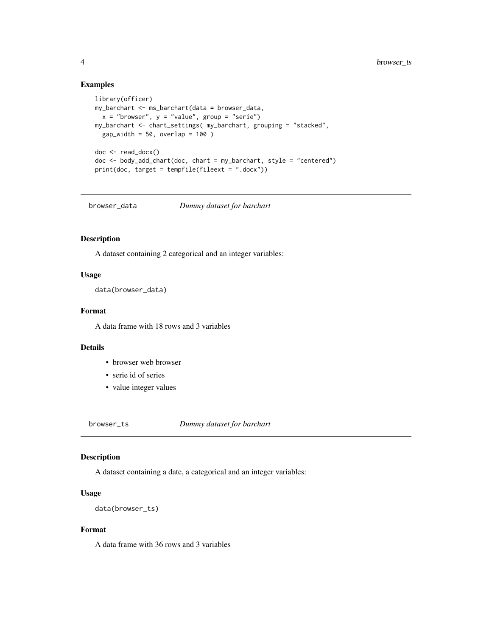# Examples

```
library(officer)
my_barchart <- ms_barchart(data = browser_data,
  x = "brouser", y = "value", group = "serie")my_barchart <- chart_settings( my_barchart, grouping = "stacked",
  gap_width = 50, overlap = 100)
doc <- read_docx()
doc < - body\_add\_chart(doc, chart = my\_barchart, style = "centered")print(doc, target = tempfile(fileext = ".docx"))
```
browser\_data *Dummy dataset for barchart*

# Description

A dataset containing 2 categorical and an integer variables:

# Usage

data(browser\_data)

# Format

A data frame with 18 rows and 3 variables

#### Details

- browser web browser
- serie id of series
- value integer values

browser\_ts *Dummy dataset for barchart*

# Description

A dataset containing a date, a categorical and an integer variables:

#### Usage

data(browser\_ts)

#### Format

A data frame with 36 rows and 3 variables

<span id="page-3-0"></span>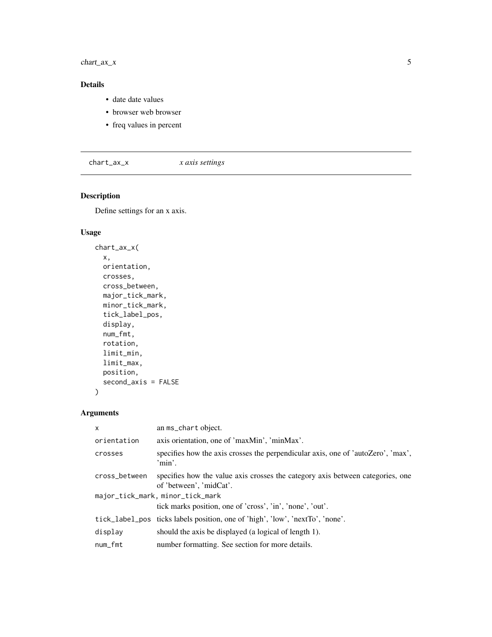<span id="page-4-0"></span> $char_{<sub>1</sub>ax_x}$  5

# Details

- date date values
- browser web browser
- freq values in percent

<span id="page-4-1"></span>chart\_ax\_x *x axis settings*

# Description

Define settings for an x axis.

# Usage

```
chart_ax_x(
  x,
  orientation,
  crosses,
  cross_between,
  major_tick_mark,
  minor_tick_mark,
  tick_label_pos,
  display,
  num_fmt,
  rotation,
  limit_min,
  limit_max,
  position,
  second_axis = FALSE
)
```

| $\times$      | an ms_chart object.                                                                                       |
|---------------|-----------------------------------------------------------------------------------------------------------|
| orientation   | axis orientation, one of 'maxMin', 'minMax'.                                                              |
| crosses       | specifies how the axis crosses the perpendicular axis, one of 'autoZero', 'max',<br>'min'.                |
| cross_between | specifies how the value axis crosses the category axis between categories, one<br>of 'between', 'midCat'. |
|               | major_tick_mark, minor_tick_mark                                                                          |
|               | tick marks position, one of 'cross', 'in', 'none', 'out'.                                                 |
|               | tick_label_pos ticks labels position, one of 'high', 'low', 'nextTo', 'none'.                             |
| display       | should the axis be displayed (a logical of length 1).                                                     |
| num_fmt       | number formatting. See section for more details.                                                          |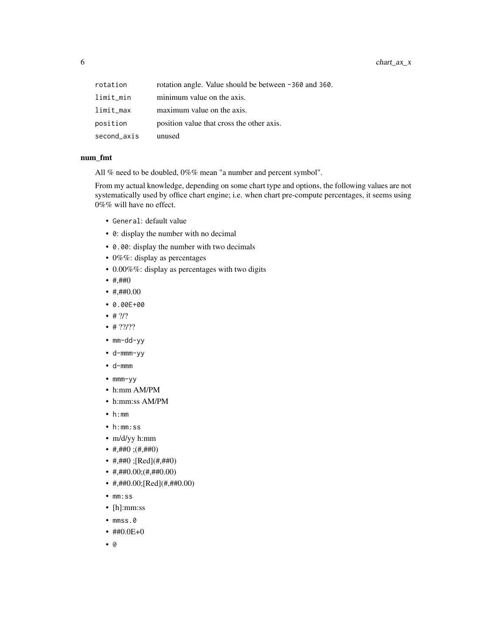6 chart\_ax\_x

| rotation    | rotation angle. Value should be between -360 and 360. |
|-------------|-------------------------------------------------------|
| limit_min   | minimum value on the axis.                            |
| limit_max   | maximum value on the axis.                            |
| position    | position value that cross the other axis.             |
| second_axis | unused                                                |

# num\_fmt

All % need to be doubled, 0%% mean "a number and percent symbol".

From my actual knowledge, depending on some chart type and options, the following values are not systematically used by office chart engine; i.e. when chart pre-compute percentages, it seems using 0%% will have no effect.

- General: default value
- 0: display the number with no decimal
- 0.00: display the number with two decimals
- 0%%: display as percentages
- 0.00%%: display as percentages with two digits
- $\#$ , $\#$ #0
- $\#$ , $\#$ #0.00
- 0.00E+00
- $# ?/?$
- $•$  # ??/??
- mm-dd-yy
- d-mmm-yy
- d-mmm
- mmm-yy
- h:mm AM/PM
- h:mm:ss AM/PM
- h:mm
- h:mm:ss
- m/d/yy h:mm
- #,##0 ;(#,##0)
- #,##0 ;[Red](#,##0)
- $\#$ ,  $\#$  #0.00;  $(\#$ ,  $\#$  #0.00)
- #,##0.00;[Red](#,##0.00)
- mm:ss
- [h]:mm:ss
- mmss.0

• @

• ##0.0E+0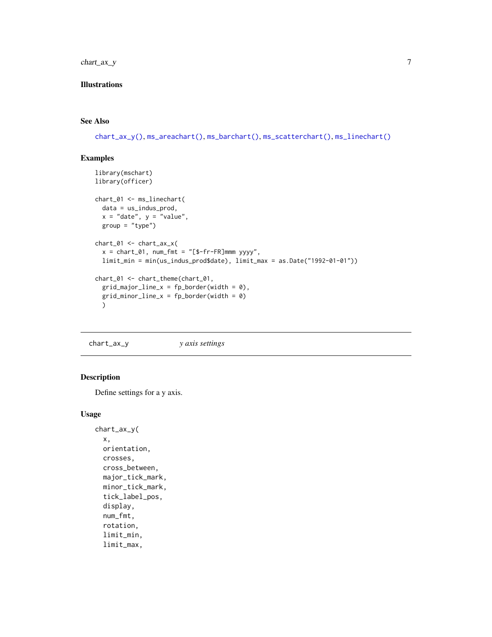# <span id="page-6-0"></span>chart\_ax\_y 7

# Illustrations

#### See Also

```
chart_ax_y(), ms_areachart(), ms_barchart(), ms_scatterchart(), ms_linechart()
```
# Examples

```
library(mschart)
library(officer)
chart_01 <- ms_linechart(
  data = us_indus_prod,
  x = "date", y = "value",group = "type")
chart_01 <- chart_ax_x(
  x = chart_01, num_fmt = "[$-fr-FR]mmm yyyy",limit_min = min(us_indus_prod$date), limit_max = as.Date("1992-01-01"))
chart_01 <- chart_theme(chart_01,
  grid\_major\_line_x = fp\_border(width = 0),
  grid\_minor\_line_x = fp\_border(width = 0)\lambda
```
<span id="page-6-1"></span>chart\_ax\_y *y axis settings*

# Description

Define settings for a y axis.

#### Usage

```
chart_ax_y(
 x,
 orientation,
  crosses,
  cross_between,
  major_tick_mark,
 minor_tick_mark,
  tick_label_pos,
  display,
  num_fmt,
  rotation,
  limit_min,
  limit_max,
```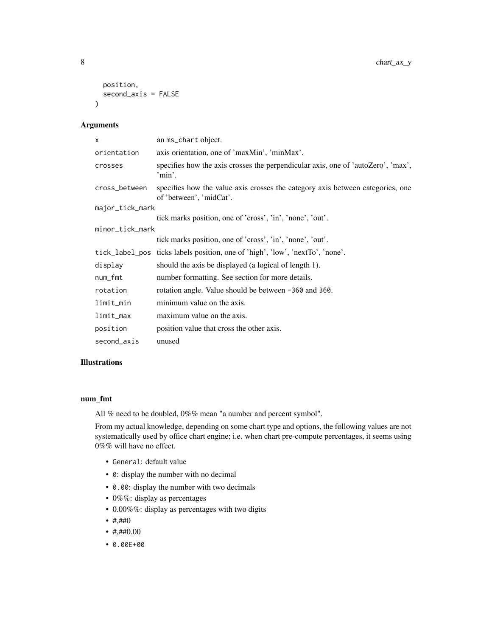```
position,
 second_axis = FALSE
\lambda
```
# Arguments

| $\mathsf{x}$    | an ms_chart object.                                                                                       |
|-----------------|-----------------------------------------------------------------------------------------------------------|
| orientation     | axis orientation, one of 'maxMin', 'minMax'.                                                              |
| crosses         | specifies how the axis crosses the perpendicular axis, one of 'autoZero', 'max',<br>'min'.                |
| cross_between   | specifies how the value axis crosses the category axis between categories, one<br>of 'between', 'midCat'. |
| major_tick_mark |                                                                                                           |
|                 | tick marks position, one of 'cross', 'in', 'none', 'out'.                                                 |
| minor_tick_mark |                                                                                                           |
|                 | tick marks position, one of 'cross', 'in', 'none', 'out'.                                                 |
|                 | tick_label_pos ticks labels position, one of 'high', 'low', 'nextTo', 'none'.                             |
| display         | should the axis be displayed (a logical of length 1).                                                     |
| num_fmt         | number formatting. See section for more details.                                                          |
| rotation        | rotation angle. Value should be between -360 and 360.                                                     |
| limit_min       | minimum value on the axis.                                                                                |
| limit_max       | maximum value on the axis.                                                                                |
| position        | position value that cross the other axis.                                                                 |
| second_axis     | unused                                                                                                    |

# Illustrations

# num\_fmt

All % need to be doubled, 0%% mean "a number and percent symbol".

From my actual knowledge, depending on some chart type and options, the following values are not systematically used by office chart engine; i.e. when chart pre-compute percentages, it seems using 0%% will have no effect.

- General: default value
- 0: display the number with no decimal
- 0.00: display the number with two decimals
- 0%%: display as percentages
- 0.00%%: display as percentages with two digits
- #,##0
- $\#$ , $\#$ #0.00
- 0.00E+00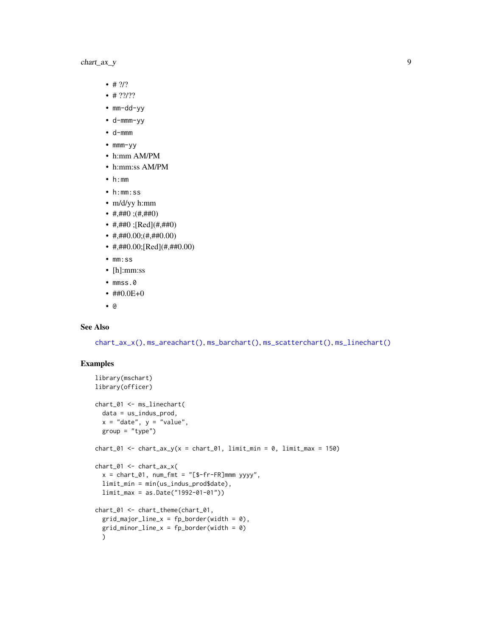# <span id="page-8-0"></span>chart\_ax\_y 9

- $# ?/?$
- $•$  # ??/??
- mm-dd-yy
- d-mmm-yy
- d-mmm
- mmm-yy
- h:mm AM/PM
- h:mm:ss AM/PM
- h:mm
- h:mm:ss
- m/d/yy h:mm
- #,##0 ; $($ #,##0 $)$
- #,##0 ;[Red](#,##0)
- $\#$ ,  $\#$  #0.00; ( $\#$ ,  $\#$  #0.00)
- #,##0.00;[Red](#,##0.00)
- mm:ss
- [h]:mm:ss
- mmss.0
- $\#40.0E+0$
- @

# See Also

[chart\\_ax\\_x\(\)](#page-4-1), [ms\\_areachart\(\)](#page-19-1), [ms\\_barchart\(\)](#page-20-1), [ms\\_scatterchart\(\)](#page-25-1), [ms\\_linechart\(\)](#page-23-1)

```
library(mschart)
library(officer)
chart_01 <- ms_linechart(
 data = us_indus_prod,
 x = "date", y = "value",group = "type")chart_01 <- chart_ax_y(x = chart_01, limit_min = 0, limit_max = 150)
chart_01 <- chart_ax_x(
  x = chart_01, num_fmt = "[$-fr-FR]mm myyy',
  limit_min = min(us_indus_prod$date),
  limit_max = as.Date("1992-01-01"))
chart_01 <- chart_theme(chart_01,
  grid\_major\_line_x = fp\_border(width = 0),
  grid\_minor\_line_x = fp\_border(width = 0)\lambda
```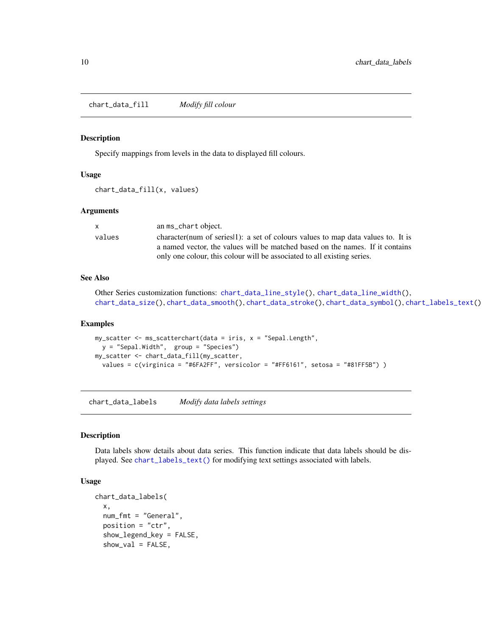<span id="page-9-1"></span><span id="page-9-0"></span>chart\_data\_fill *Modify fill colour*

#### Description

Specify mappings from levels in the data to displayed fill colours.

#### Usage

chart\_data\_fill(x, values)

#### Arguments

|        | an ms_chart object.                                                               |
|--------|-----------------------------------------------------------------------------------|
| values | character (num of series 1): a set of colours values to map data values to. It is |
|        | a named vector, the values will be matched based on the names. If it contains     |
|        | only one colour, this colour will be associated to all existing series.           |

# See Also

```
Other Series customization functions: chart_data_line_style(), chart_data_line_width(),
chart_data_size(), chart_data_smooth(), chart_data_stroke(), chart_data_symbol(), chart_labels_text()
```
#### Examples

```
my_scatter <- ms_scatterchart(data = iris, x = "Sepal.Length",
  y = "Sepal.Width", group = "Species")
my_scatter <- chart_data_fill(my_scatter,
  values = c(virginica = "#6FA2FF", versicolor = "#FF6161", setosa = "#81FF5B") )
```
<span id="page-9-2"></span>chart\_data\_labels *Modify data labels settings*

#### Description

Data labels show details about data series. This function indicate that data labels should be displayed. See [chart\\_labels\\_text\(\)](#page-15-1) for modifying text settings associated with labels.

#### Usage

```
chart_data_labels(
 x,
  num_fmt = "General",
 position = "ctr",
  show_legend_key = FALSE,
  show_val = FALSE,
```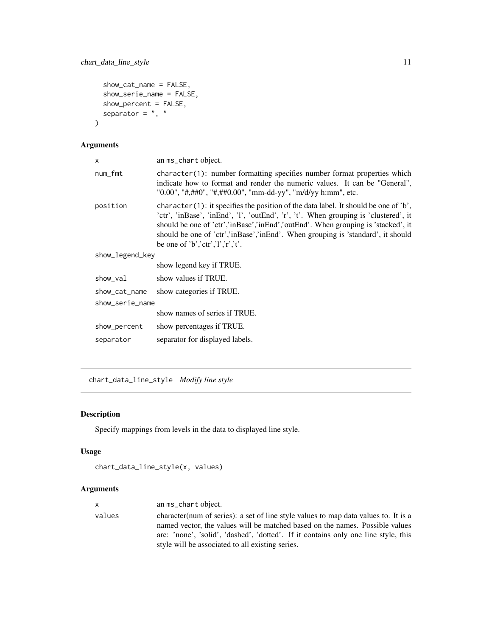```
show_cat_name = FALSE,
show_serie_name = FALSE,
show_percent = FALSE,
separator = ", "
```
# Arguments

 $\mathcal{L}$ 

| X               | an ms_chart object.                                                                                                                                                                                                                                                                                                                                                                           |
|-----------------|-----------------------------------------------------------------------------------------------------------------------------------------------------------------------------------------------------------------------------------------------------------------------------------------------------------------------------------------------------------------------------------------------|
| num_fmt         | character(1): number formatting specifies number format properties which<br>indicate how to format and render the numeric values. It can be "General",<br>"0.00", "#,##0", "#,##0.00", "mm-dd-yy", "m/d/yy h:mm", etc.                                                                                                                                                                        |
| position        | character $(1)$ : it specifies the position of the data label. It should be one of 'b',<br>'ctr', 'inBase', 'inEnd', 'l', 'outEnd', 'r', 't'. When grouping is 'clustered', it<br>should be one of 'ctr','inBase','inEnd','outEnd'. When grouping is 'stacked', it<br>should be one of 'ctr', 'in Base', 'in End'. When grouping is 'standard', it should<br>be one of 'b','ctr','l','r','t'. |
| show_legend_key |                                                                                                                                                                                                                                                                                                                                                                                               |
|                 | show legend key if TRUE.                                                                                                                                                                                                                                                                                                                                                                      |
| show_val        | show values if TRUE.                                                                                                                                                                                                                                                                                                                                                                          |
| show_cat_name   | show categories if TRUE.                                                                                                                                                                                                                                                                                                                                                                      |
| show_serie_name |                                                                                                                                                                                                                                                                                                                                                                                               |
|                 | show names of series if TRUE.                                                                                                                                                                                                                                                                                                                                                                 |
| show_percent    | show percentages if TRUE.                                                                                                                                                                                                                                                                                                                                                                     |
| separator       | separator for displayed labels.                                                                                                                                                                                                                                                                                                                                                               |
|                 |                                                                                                                                                                                                                                                                                                                                                                                               |

<span id="page-10-1"></span>chart\_data\_line\_style *Modify line style*

# Description

Specify mappings from levels in the data to displayed line style.

# Usage

```
chart_data_line_style(x, values)
```

| X      | an ms_chart object.                                                                                                                                                                                                                                                                                            |
|--------|----------------------------------------------------------------------------------------------------------------------------------------------------------------------------------------------------------------------------------------------------------------------------------------------------------------|
| values | character (num of series): a set of line style values to map data values to. It is a<br>named vector, the values will be matched based on the names. Possible values<br>are: 'none', 'solid', 'dashed', 'dotted'. If it contains only one line style, this<br>style will be associated to all existing series. |
|        |                                                                                                                                                                                                                                                                                                                |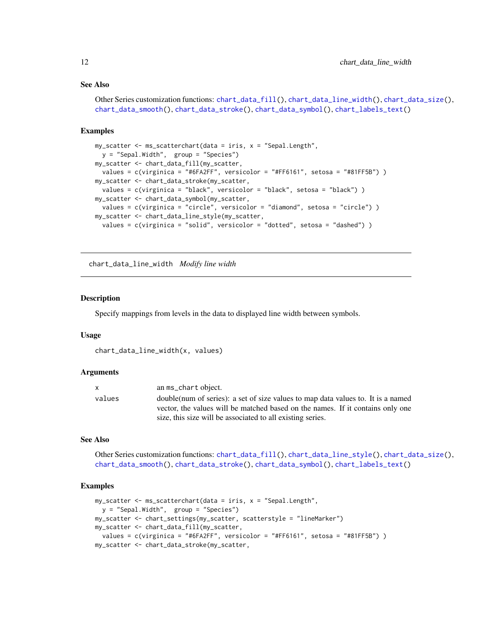#### <span id="page-11-0"></span>See Also

```
Other Series customization functions: chart_data_fill(), chart_data_line_width(), chart_data_size(),
chart_data_smooth(), chart_data_stroke(), chart_data_symbol(), chart_labels_text()
```
#### Examples

```
my\_scatter \leftarrow ms\_scatterchart(data = iris, x = "Sepal.length",y = "Sepal.Width", group = "Species")
my_scatter <- chart_data_fill(my_scatter,
 values = c(virginica = "#6FA2FF", versicolor = "#FF6161", setosa = "#81FF5B") )
my_scatter <- chart_data_stroke(my_scatter,
  values = c(virginica = "black", versicolor = "black", setosa = "black") )
my_scatter <- chart_data_symbol(my_scatter,
  values = c(virginica = "circle", versicolor = "diamond", setosa = "circle") )
my_scatter <- chart_data_line_style(my_scatter,
  values = c(virginica = "solid", versicolor = "dotted", setosa = "dashed") )
```
<span id="page-11-1"></span>chart\_data\_line\_width *Modify line width*

#### Description

Specify mappings from levels in the data to displayed line width between symbols.

#### Usage

```
chart_data_line_width(x, values)
```
#### Arguments

| X      | an ms_chart object.                                                               |
|--------|-----------------------------------------------------------------------------------|
| values | double (num of series): a set of size values to map data values to. It is a named |
|        | vector, the values will be matched based on the names. If it contains only one    |
|        | size, this size will be associated to all existing series.                        |

#### See Also

Other Series customization functions: [chart\\_data\\_fill\(](#page-9-1)), [chart\\_data\\_line\\_style\(](#page-10-1)), [chart\\_data\\_size\(](#page-12-1)), [chart\\_data\\_smooth\(](#page-13-1)), [chart\\_data\\_stroke\(](#page-13-2)), [chart\\_data\\_symbol\(](#page-14-1)), [chart\\_labels\\_text\(](#page-15-1))

```
my_scatter <- ms_scatterchart(data = iris, x = "Sepal.Length",
  y = "Sepal.Width", group = "Species")
my_scatter <- chart_settings(my_scatter, scatterstyle = "lineMarker")
my_scatter <- chart_data_fill(my_scatter,
 values = c(virginica = "#6FA2FF", versicolor = "#FF6161", setosa = "#81FF5B") )
my_scatter <- chart_data_stroke(my_scatter,
```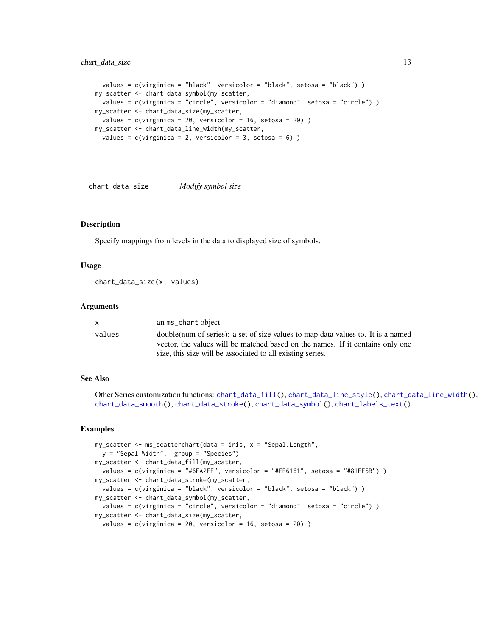### <span id="page-12-0"></span>chart\_data\_size 13

```
values = c(virginica = "black", versicolor = "black", setosa = "black") )
my_scatter <- chart_data_symbol(my_scatter,
  values = c(virginica = "circle", versicolor = "diamond", setosa = "circle") )
my_scatter <- chart_data_size(my_scatter,
  values = c(virginica = 20, versicolor = 16, setosa = 20) )
my_scatter <- chart_data_line_width(my_scatter,
  values = c(virginica = 2, versionor = 3, setosa = 6))
```
<span id="page-12-1"></span>chart\_data\_size *Modify symbol size*

#### Description

Specify mappings from levels in the data to displayed size of symbols.

#### Usage

chart\_data\_size(x, values)

#### **Arguments**

|        | an ms_chart object.                                                               |
|--------|-----------------------------------------------------------------------------------|
| values | double (num of series): a set of size values to map data values to. It is a named |
|        | vector, the values will be matched based on the names. If it contains only one    |
|        | size, this size will be associated to all existing series.                        |

#### See Also

Other Series customization functions: [chart\\_data\\_fill\(](#page-9-1)), [chart\\_data\\_line\\_style\(](#page-10-1)), [chart\\_data\\_line\\_width\(](#page-11-1)), [chart\\_data\\_smooth\(](#page-13-1)), [chart\\_data\\_stroke\(](#page-13-2)), [chart\\_data\\_symbol\(](#page-14-1)), [chart\\_labels\\_text\(](#page-15-1))

```
my_scatter <- ms_scatterchart(data = iris, x = "Sepal.Length",
  y = "Sepal.Width", group = "Species")
my_scatter <- chart_data_fill(my_scatter,
  values = c(virginica = "#6FA2FF", versicolor = "#FF6161", setosa = "#81FF5B") )
my_scatter <- chart_data_stroke(my_scatter,
  values = c(virginica = "black", versicolor = "black", setosa = "black") )
my_scatter <- chart_data_symbol(my_scatter,
  values = c(virginica = "circle", versicolor = "diamond", setosa = "circle") )
my_scatter <- chart_data_size(my_scatter,
  values = c(virginica = 20, versionor = 16, setosa = 20))
```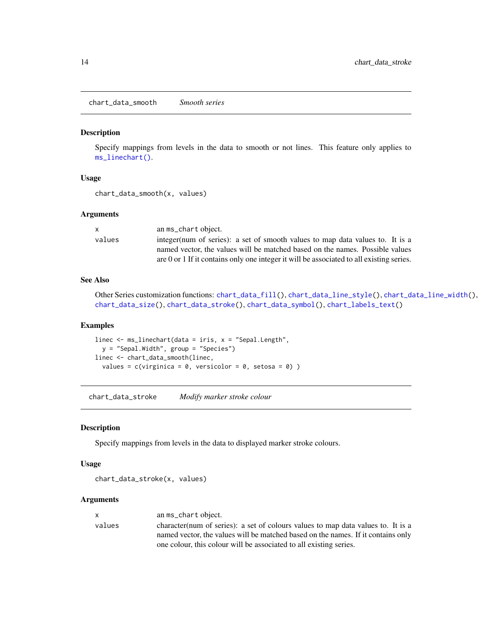<span id="page-13-1"></span><span id="page-13-0"></span>chart\_data\_smooth *Smooth series*

# Description

Specify mappings from levels in the data to smooth or not lines. This feature only applies to [ms\\_linechart\(\)](#page-23-1).

#### Usage

```
chart_data_smooth(x, values)
```
#### Arguments

| X      | an ms_chart object.                                                                      |
|--------|------------------------------------------------------------------------------------------|
| values | integer(num of series): a set of smooth values to map data values to. It is a            |
|        | named vector, the values will be matched based on the names. Possible values             |
|        | are 0 or 1 If it contains only one integer it will be associated to all existing series. |

# See Also

Other Series customization functions: [chart\\_data\\_fill\(](#page-9-1)), [chart\\_data\\_line\\_style\(](#page-10-1)), [chart\\_data\\_line\\_width\(](#page-11-1)), [chart\\_data\\_size\(](#page-12-1)), [chart\\_data\\_stroke\(](#page-13-2)), [chart\\_data\\_symbol\(](#page-14-1)), [chart\\_labels\\_text\(](#page-15-1))

#### Examples

linec  $\leq$  ms\_linechart(data = iris,  $x =$  "Sepal.Length", y = "Sepal.Width", group = "Species") linec <- chart\_data\_smooth(linec, values =  $c(virginica = 0, versionor = 0, setosa = 0)$ )

<span id="page-13-2"></span>chart\_data\_stroke *Modify marker stroke colour*

#### Description

Specify mappings from levels in the data to displayed marker stroke colours.

# Usage

chart\_data\_stroke(x, values)

| x      | an ms_chart object.                                                               |
|--------|-----------------------------------------------------------------------------------|
| values | character (num of series): a set of colours values to map data values to. It is a |
|        | named vector, the values will be matched based on the names. If it contains only  |
|        | one colour, this colour will be associated to all existing series.                |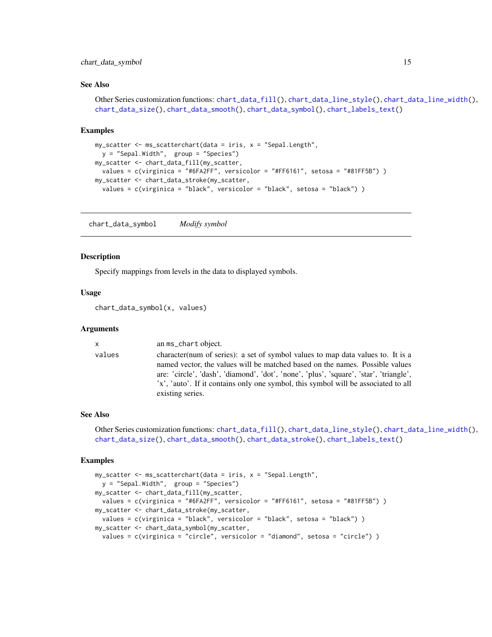# <span id="page-14-0"></span>chart\_data\_symbol 15

#### See Also

```
Other Series customization functions: chart_data_fill(), chart_data_line_style(), chart_data_line_width(),
chart_data_size(), chart_data_smooth(), chart_data_symbol(), chart_labels_text()
```
#### Examples

```
my_scatter <- ms_scatterchart(data = iris, x = "Sepal.Length",
  y = "Sepal.Width", group = "Species")
my_scatter <- chart_data_fill(my_scatter,
  values = c(virginica = "#6FA2FF", versicolor = "#FF6161", setosa = "#81FF5B") )
my_scatter <- chart_data_stroke(my_scatter,
  values = c(virginica = "black", versicolor = "black", setosa = "black") )
```
<span id="page-14-1"></span>chart\_data\_symbol *Modify symbol*

#### Description

Specify mappings from levels in the data to displayed symbols.

#### Usage

chart\_data\_symbol(x, values)

#### Arguments

| $\mathsf{X}$ | an ms_chart object.                                                                                                                                                                                                                                                                                                                                                  |
|--------------|----------------------------------------------------------------------------------------------------------------------------------------------------------------------------------------------------------------------------------------------------------------------------------------------------------------------------------------------------------------------|
| values       | character (num of series): a set of symbol values to map data values to. It is a<br>named vector, the values will be matched based on the names. Possible values<br>are: 'circle', 'dash', 'diamond', 'dot', 'none', 'plus', 'square', 'star', 'triangle',<br>'x', 'auto'. If it contains only one symbol, this symbol will be associated to all<br>existing series. |

#### See Also

```
Other Series customization functions: chart_data_fill(), chart_data_line_style(), chart_data_line_width(),
chart_data_size(), chart_data_smooth(), chart_data_stroke(), chart_labels_text()
```

```
my_scatter <- ms_scatterchart(data = iris, x = "Sepal.Length",
  y = "Sepal.Width", group = "Species")
my_scatter <- chart_data_fill(my_scatter,
  values = c(virginica = "#6FA2FF", versicolor = "#FF6161", setosa = "#81FF5B") )
my_scatter <- chart_data_stroke(my_scatter,
  values = c(virginica = "black", versicolor = "black", setosa = "black") )
my_scatter <- chart_data_symbol(my_scatter,
  values = c(virginica = "circle", versicolor = "diamond", setosa = "circle") )
```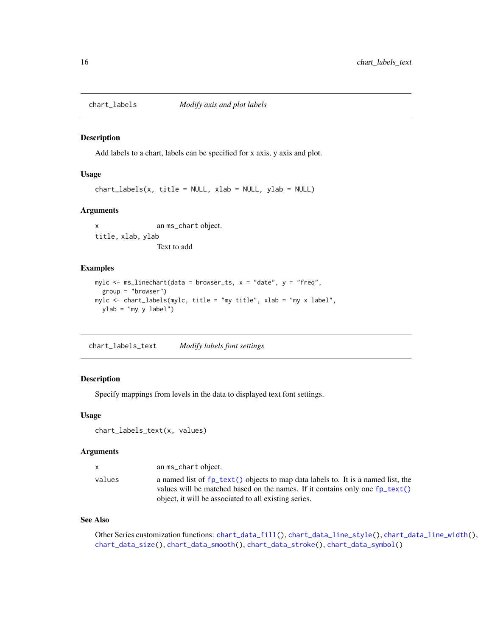<span id="page-15-2"></span><span id="page-15-0"></span>

#### Description

Add labels to a chart, labels can be specified for x axis, y axis and plot.

#### Usage

chart\_labels(x, title = NULL, xlab = NULL, ylab = NULL)

#### Arguments

x an ms\_chart object. title, xlab, ylab Text to add

#### Examples

```
mylc \leq ms_linechart(data = browser_ts, x = "date", y = "freq",
  group = "browser")
mylc <- chart_labels(mylc, title = "my title", xlab = "my x label",
  ylab = "my y label")
```
<span id="page-15-1"></span>chart\_labels\_text *Modify labels font settings*

# Description

Specify mappings from levels in the data to displayed text font settings.

# Usage

```
chart_labels_text(x, values)
```
#### Arguments

| X      | an ms_chart object.                                                                                                                                                          |
|--------|------------------------------------------------------------------------------------------------------------------------------------------------------------------------------|
| values | a named list of fp_text() objects to map data labels to. It is a named list, the<br>values will be matched based on the names. If it contains only one $fp_{\text{text}}(x)$ |
|        | object, it will be associated to all existing series.                                                                                                                        |

#### See Also

Other Series customization functions: [chart\\_data\\_fill\(](#page-9-1)), [chart\\_data\\_line\\_style\(](#page-10-1)), [chart\\_data\\_line\\_width\(](#page-11-1)), [chart\\_data\\_size\(](#page-12-1)), [chart\\_data\\_smooth\(](#page-13-1)), [chart\\_data\\_stroke\(](#page-13-2)), [chart\\_data\\_symbol\(](#page-14-1))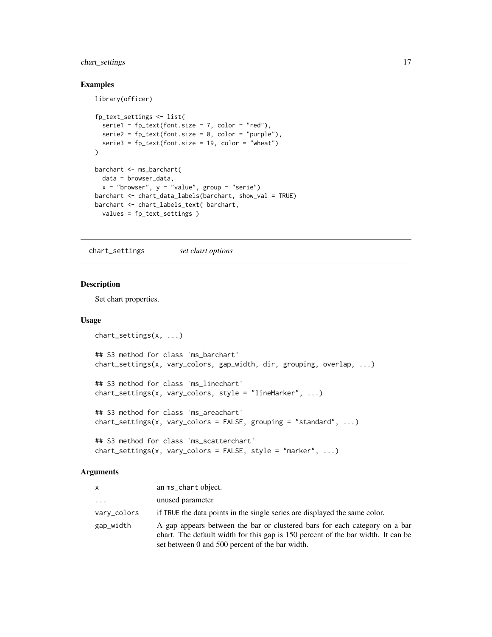# <span id="page-16-0"></span>chart\_settings 17

library(officer)

#### Examples

```
fp_text_settings <- list(
  serie1 = fp_{text{(font.size = 7, color = "red")},
  series2 = fp_test(font.size = 0, color = "purple"),series = f<sub>p</sub>text(font.size = 19, color = "wheat")
\lambdabarchart <- ms_barchart(
  data = browser_data,
  x = "brouser", y = "value", group = "serie")barchart <- chart_data_labels(barchart, show_val = TRUE)
barchart <- chart_labels_text( barchart,
  values = fp_text_settings )
```
<span id="page-16-1"></span>chart\_settings *set chart options*

# Description

Set chart properties.

#### Usage

```
chart_settings(x, ...)
## S3 method for class 'ms_barchart'
chart_settings(x, vary_colors, gap_width, dir, grouping, overlap, ...)
## S3 method for class 'ms_linechart'
chart_settings(x, vary_colors, style = "lineMarker", ...)
## S3 method for class 'ms_areachart'
chart_settings(x, vary_colors = FALSE, grouping = "standard", ...)
## S3 method for class 'ms_scatterchart'
chart\_settings(x, vary\_colors = FALSE, style = "marker", ...)
```

| <b>X</b>    | an ms_chart object.                                                                                                                                                                                               |
|-------------|-------------------------------------------------------------------------------------------------------------------------------------------------------------------------------------------------------------------|
| $\cdots$    | unused parameter                                                                                                                                                                                                  |
| vary_colors | if TRUE the data points in the single series are displayed the same color.                                                                                                                                        |
| gap_width   | A gap appears between the bar or clustered bars for each category on a bar<br>chart. The default width for this gap is 150 percent of the bar width. It can be<br>set between 0 and 500 percent of the bar width. |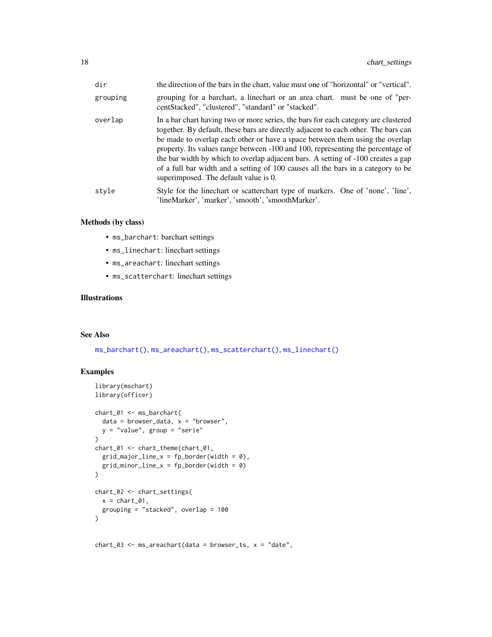<span id="page-17-0"></span>

| dir      | the direction of the bars in the chart, value must one of "horizontal" or "vertical".                                                                                                                                                                                                                                                                                                                                                                                                                                                                        |
|----------|--------------------------------------------------------------------------------------------------------------------------------------------------------------------------------------------------------------------------------------------------------------------------------------------------------------------------------------------------------------------------------------------------------------------------------------------------------------------------------------------------------------------------------------------------------------|
| grouping | grouping for a barchart, a linechart or an area chart. must be one of "per-<br>centStacked", "clustered", "standard" or "stacked".                                                                                                                                                                                                                                                                                                                                                                                                                           |
| overlap  | In a bar chart having two or more series, the bars for each category are clustered<br>together. By default, these bars are directly adjacent to each other. The bars can<br>be made to overlap each other or have a space between them using the overlap<br>property. Its values range between -100 and 100, representing the percentage of<br>the bar width by which to overlap adjacent bars. A setting of -100 creates a gap<br>of a full bar width and a setting of 100 causes all the bars in a category to be<br>superimposed. The default value is 0. |
| style    | Style for the linechart or scatter chart type of markers. One of 'none', 'line',<br>'lineMarker', 'marker', 'smooth', 'smoothMarker'.                                                                                                                                                                                                                                                                                                                                                                                                                        |

# Methods (by class)

- ms\_barchart: barchart settings
- ms\_linechart: linechart settings
- ms\_areachart: linechart settings
- ms\_scatterchart: linechart settings

# Illustrations

# See Also

[ms\\_barchart\(\)](#page-20-1), [ms\\_areachart\(\)](#page-19-1), [ms\\_scatterchart\(\)](#page-25-1), [ms\\_linechart\(\)](#page-23-1)

```
library(mschart)
library(officer)
chart_01 <- ms_barchart(
  data = browser_data, x = "browser",y = "value", group = "serie")
chart_01 <- chart_theme(chart_01,
  grid\_major\_line_x = fp\_border(width = 0),
  grid\_minor\_line_x = fp\_border(width = 0)\lambdachart_02 <- chart_settings(
  x = \text{chart\_01},
  grouping = "stacked", overlap = 100
\lambda
```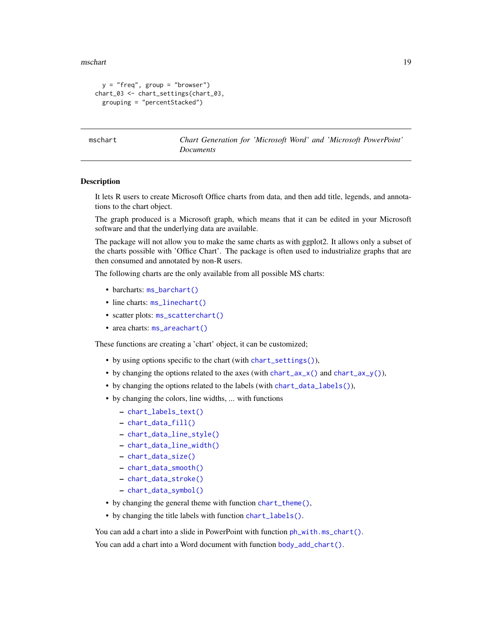<span id="page-18-0"></span>mschart 19

```
y = "freq", group = "browser")chart_03 <- chart_settings(chart_03,
 grouping = "percentStacked")
```
mschart *Chart Generation for 'Microsoft Word' and 'Microsoft PowerPoint' Documents*

#### Description

It lets R users to create Microsoft Office charts from data, and then add title, legends, and annotations to the chart object.

The graph produced is a Microsoft graph, which means that it can be edited in your Microsoft software and that the underlying data are available.

The package will not allow you to make the same charts as with ggplot2. It allows only a subset of the charts possible with 'Office Chart'. The package is often used to industrialize graphs that are then consumed and annotated by non-R users.

The following charts are the only available from all possible MS charts:

- barcharts: [ms\\_barchart\(\)](#page-20-1)
- line charts:  $ms$ \_linechart()
- scatter plots: [ms\\_scatterchart\(\)](#page-25-1)
- area charts: [ms\\_areachart\(\)](#page-19-1)

These functions are creating a 'chart' object, it can be customized;

- by using options specific to the chart (with [chart\\_settings\(\)](#page-16-1)),
- by changing the options related to the axes (with [chart\\_ax\\_x\(\)](#page-4-1) and [chart\\_ax\\_y\(\)](#page-6-1)),
- by changing the options related to the labels (with [chart\\_data\\_labels\(\)](#page-9-2)),
- by changing the colors, line widths, ... with functions
	- [chart\\_labels\\_text\(\)](#page-15-1)
	- [chart\\_data\\_fill\(\)](#page-9-1)
	- [chart\\_data\\_line\\_style\(\)](#page-10-1)
	- [chart\\_data\\_line\\_width\(\)](#page-11-1)
	- [chart\\_data\\_size\(\)](#page-12-1)
	- [chart\\_data\\_smooth\(\)](#page-13-1)
	- [chart\\_data\\_stroke\(\)](#page-13-2)
	- [chart\\_data\\_symbol\(\)](#page-14-1)
- by changing the general theme with function [chart\\_theme\(\)](#page-28-1),
- by changing the title labels with function [chart\\_labels\(\)](#page-15-2).

You can add a chart into a slide in PowerPoint with function  $ph_wuth.ms_cchart()$ . You can add a chart into a Word document with function [body\\_add\\_chart\(\)](#page-2-1).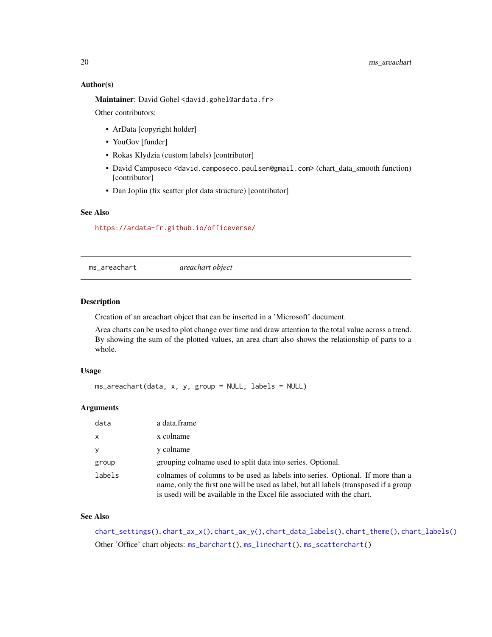#### Author(s)

Maintainer: David Gohel <david.gohel@ardata.fr> Other contributors:

- ArData [copyright holder]
- YouGov [funder]
- Rokas Klydzia (custom labels) [contributor]
- David Camposeco <david.camposeco.paulsen@gmail.com> (chart\_data\_smooth function) [contributor]
- Dan Joplin (fix scatter plot data structure) [contributor]

# See Also

<https://ardata-fr.github.io/officeverse/>

<span id="page-19-1"></span>ms\_areachart *areachart object*

# Description

Creation of an areachart object that can be inserted in a 'Microsoft' document.

Area charts can be used to plot change over time and draw attention to the total value across a trend. By showing the sum of the plotted values, an area chart also shows the relationship of parts to a whole.

#### Usage

ms\_areachart(data, x, y, group = NULL, labels = NULL)

# Arguments

| data         | a data.frame                                                                                                                                                                                                                                       |
|--------------|----------------------------------------------------------------------------------------------------------------------------------------------------------------------------------------------------------------------------------------------------|
| $\mathsf{x}$ | x colname                                                                                                                                                                                                                                          |
| y            | y colname                                                                                                                                                                                                                                          |
| group        | grouping colname used to split data into series. Optional.                                                                                                                                                                                         |
| labels       | colnames of columns to be used as labels into series. Optional. If more than a<br>name, only the first one will be used as label, but all labels (transposed if a group<br>is used) will be available in the Excel file associated with the chart. |

# See Also

[chart\\_settings\(\)](#page-16-1), [chart\\_ax\\_x\(\)](#page-4-1), [chart\\_ax\\_y\(\)](#page-6-1), [chart\\_data\\_labels\(\)](#page-9-2), [chart\\_theme\(\)](#page-28-1), [chart\\_labels\(\)](#page-15-2) Other 'Office' chart objects: [ms\\_barchart\(](#page-20-1)), [ms\\_linechart\(](#page-23-1)), [ms\\_scatterchart\(](#page-25-1))

<span id="page-19-0"></span>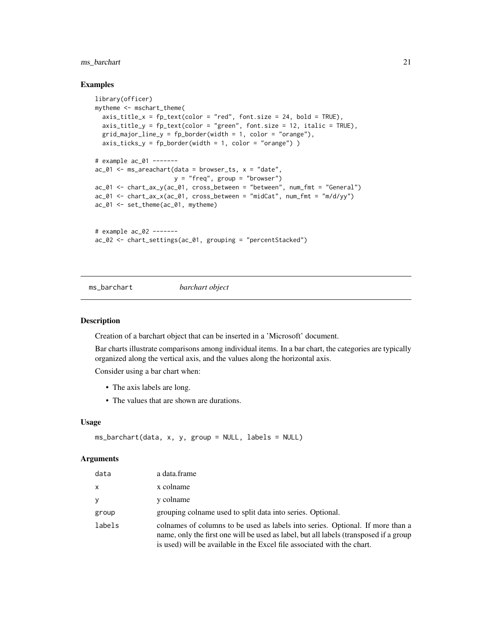# <span id="page-20-0"></span>ms\_barchart 21

#### Examples

```
library(officer)
mytheme <- mschart_theme(
  axis_title_x = fp_{text}(color = "red", font.size = 24, bold = TRUE),axis\_title_y = fp\_text(color = "green", font.size = 12, italic = TRUE),grid_major_line_y = fp_border(width = 1, color = "orange"),
  axis\_ticks_y = fp\_border(width = 1, color = "orange")# example ac_01 -------
ac_01 <- ms_areachart(data = browser_ts, x = "date",
                     y = "freq", group = "browser")
ac_01 <- chart_ax_y(ac_01, cross_between = "between", num_fmt = "General")
ac_01 <- chart_ax_x(ac_01, cross_between = "midCat", num_fmt = "m/d/yy")
ac_01 <- set_theme(ac_01, mytheme)
# example ac_02 -------
ac_02 <- chart_settings(ac_01, grouping = "percentStacked")
```
#### <span id="page-20-1"></span>ms\_barchart *barchart object*

#### Description

Creation of a barchart object that can be inserted in a 'Microsoft' document.

Bar charts illustrate comparisons among individual items. In a bar chart, the categories are typically organized along the vertical axis, and the values along the horizontal axis.

Consider using a bar chart when:

- The axis labels are long.
- The values that are shown are durations.

#### Usage

```
ms\_barchart(data, x, y, group = NULL, labels = NULL)
```

| data   | a data.frame                                                                                                                                                                                                                                       |
|--------|----------------------------------------------------------------------------------------------------------------------------------------------------------------------------------------------------------------------------------------------------|
| X      | x colname                                                                                                                                                                                                                                          |
| V      | y colname                                                                                                                                                                                                                                          |
| group  | grouping colname used to split data into series. Optional.                                                                                                                                                                                         |
| labels | colnames of columns to be used as labels into series. Optional. If more than a<br>name, only the first one will be used as label, but all labels (transposed if a group<br>is used) will be available in the Excel file associated with the chart. |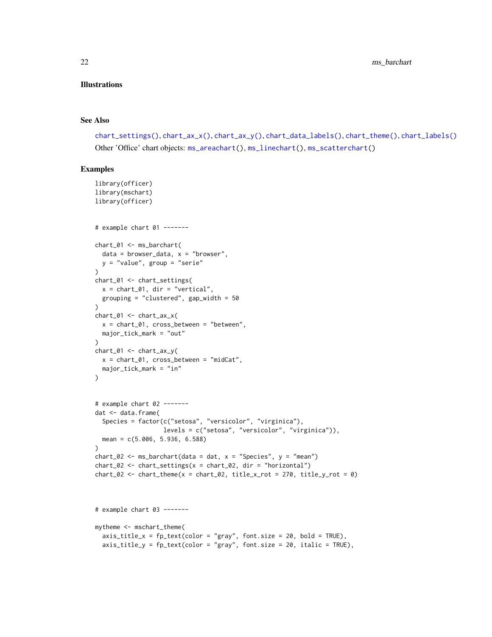#### Illustrations

#### See Also

```
chart_settings(), chart_ax_x(), chart_ax_y(), chart_data_labels(), chart_theme(), chart_labels()
Other 'Office' chart objects: ms_areachart(), ms_linechart(), ms_scatterchart()
```

```
library(officer)
library(mschart)
library(officer)
# example chart 01 -------
chart_01 <- ms_barchart(
  data = browser_data, x = "browser",y = "value", group = "serie"
)
chart_01 <- chart_settings(
 x = chart_01, dir = "vertical",
  grouping = "clustered", gap_width = 50
)
chart_01 \leftarrow chart_ax_x(x = chart_01, cross_between = "between",
 major_tick_mark = "out"
)
chart_01 <- chart_ax_y(
 x = chart_01, cross_between = "midCat",major_tick_mark = "in"
\lambda# example chart 02 -------
dat <- data.frame(
  Species = factor(c("setosa", "versicolor", "virginica"),
                   levels = c("setosa", "versicolor", "virginica")),
  mean = c(5.006, 5.936, 6.588)
\lambdachart_02 <- ms_barchart(data = dat, x = "Species", y = "mean")
chart_02 <- chart_settings(x = chart_02, dir = "horizontal")
chart_02 <- chart_theme(x = chart_02, title_x_rot = 270, title_y_rot = 0)
# example chart 03 -------
mytheme <- mschart_theme(
  axis\_title_x = fp\_text(color = "gray", font.size = 20, bold = TRUE),axis\_title_y = fp\_text(color = "gray", font.size = 20, italic = TRUE),
```
<span id="page-21-0"></span>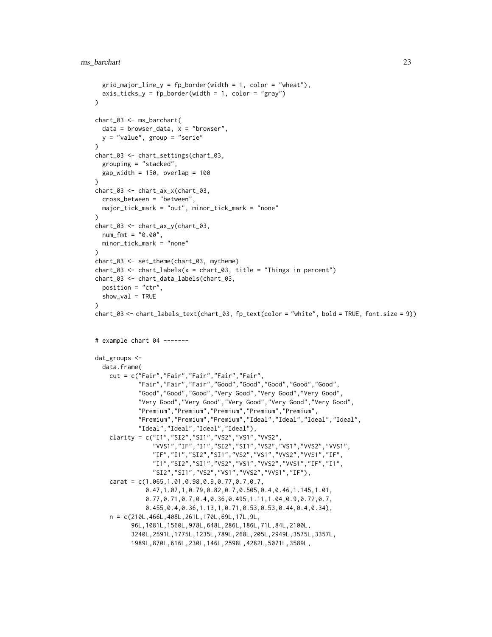```
grid\_major\_line_y = fp\_border(width = 1, color = "wheat"),axis\_ticks_y = fp\_border(width = 1, color = "gray"))
chart_03 <- ms_barchart(
 data = browser_data, x = "browser",y = "value", group = "serie"\lambdachart_03 <- chart_settings(chart_03,
  grouping = "stacked",
  gap_width = 150, overlap = 100
\lambdachart_03 <- chart_ax_x(chart_03,
  cross_between = "between",
  major_tick_mark = "out", minor_tick_mark = "none"
)
chart_03 <- chart_ax_y(chart_03,
  num_fmt = "0.00",
  minor_tick_mark = "none"
)
chart_03 <- set_theme(chart_03, mytheme)
chart_03 \leftarrow chart_labels(x = chart_03, title = "Things in percent")chart_03 <- chart_data_labels(chart_03,
  position = "ctr",
  show_val = TRUE
)
chart_03 <- chart_labels_text(chart_03, fp_text(color = "white", bold = TRUE, font.size = 9))
# example chart 04 -------
dat_groups <-
  data.frame(
    cut = c("Fair","Fair","Fair","Fair","Fair",
            "Fair","Fair","Fair","Good","Good","Good","Good","Good",
            "Good","Good","Good","Very Good","Very Good","Very Good",
            "Very Good","Very Good","Very Good","Very Good","Very Good",
            "Premium","Premium","Premium","Premium","Premium",
            "Premium","Premium","Premium","Ideal","Ideal","Ideal","Ideal",
            "Ideal","Ideal","Ideal","Ideal"),
    clarity = c("I1","SI2","SI1","VS2","VS1","VVS2",
                "VVS1","IF","I1","SI2","SI1","VS2","VS1","VVS2","VVS1",
                "IF","I1","SI2","SI1","VS2","VS1","VVS2","VVS1","IF",
                "I1","SI2","SI1","VS2","VS1","VVS2","VVS1","IF","I1",
                "SI2","SI1","VS2","VS1","VVS2","VVS1","IF"),
    carat = c(1.065,1.01,0.98,0.9,0.77,0.7,0.7,
              0.47,1.07,1,0.79,0.82,0.7,0.505,0.4,0.46,1.145,1.01,
              0.77,0.71,0.7,0.4,0.36,0.495,1.11,1.04,0.9,0.72,0.7,
              0.455,0.4,0.36,1.13,1,0.71,0.53,0.53,0.44,0.4,0.34),
    n = c(210L,466L,408L,261L,170L,69L,17L,9L,
          96L,1081L,1560L,978L,648L,286L,186L,71L,84L,2100L,
          3240L,2591L,1775L,1235L,789L,268L,205L,2949L,3575L,3357L,
          1989L,870L,616L,230L,146L,2598L,4282L,5071L,3589L,
```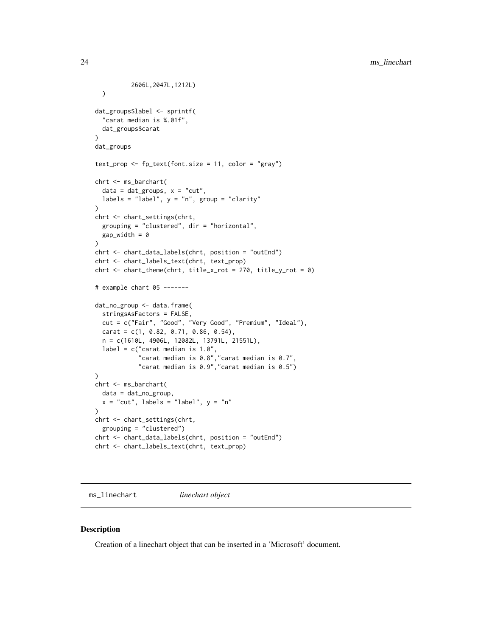```
2606L,2047L,1212L)
  )
dat_groups$label <- sprintf(
  "carat median is %.01f",
  dat_groups$carat
\lambdadat_groups
text_prop <- fp_text(font.size = 11, color = "gray")
chrt <- ms_barchart(
  data = dat\_groups, x = "cut",labels = "label", y = "n", group = "clarity"
)
chrt <- chart_settings(chrt,
  grouping = "clustered", dir = "horizontal",
  gap_width = 0
)
chrt <- chart_data_labels(chrt, position = "outEnd")
chrt <- chart_labels_text(chrt, text_prop)
chrt <- chart_theme(chrt, title_x_rot = 270, title_y_rot = 0)
# example chart 05 -------
dat_no_group <- data.frame(
  stringsAsFactors = FALSE,
  cut = c("Fair", "Good", "Very Good", "Premium", "Ideal"),
  carat = c(1, 0.82, 0.71, 0.86, 0.54),
  n = c(1610L, 4906L, 12082L, 13791L, 21551L),
  label = c("carat median is 1.0",
            "carat median is 0.8","carat median is 0.7",
            "carat median is 0.9","carat median is 0.5")
)
chrt <- ms_barchart(
  data = dat_no_group,
  x = "cut", labels = "label", y = "n"\lambdachrt <- chart_settings(chrt,
  grouping = "clustered")
chrt <- chart_data_labels(chrt, position = "outEnd")
chrt <- chart_labels_text(chrt, text_prop)
```
<span id="page-23-1"></span>ms\_linechart *linechart object*

#### Description

Creation of a linechart object that can be inserted in a 'Microsoft' document.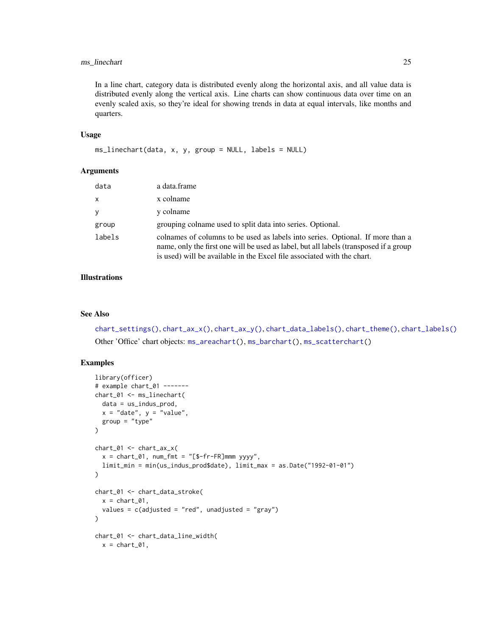# <span id="page-24-0"></span>ms\_linechart 25

In a line chart, category data is distributed evenly along the horizontal axis, and all value data is distributed evenly along the vertical axis. Line charts can show continuous data over time on an evenly scaled axis, so they're ideal for showing trends in data at equal intervals, like months and quarters.

#### Usage

```
ms_linechart(data, x, y, group = NULL, labels = NULL)
```
#### Arguments

| data   | a data.frame                                                                                                                                                                                                                                       |
|--------|----------------------------------------------------------------------------------------------------------------------------------------------------------------------------------------------------------------------------------------------------|
| x      | x colname                                                                                                                                                                                                                                          |
| y      | y colname                                                                                                                                                                                                                                          |
| group  | grouping colname used to split data into series. Optional.                                                                                                                                                                                         |
| labels | colnames of columns to be used as labels into series. Optional. If more than a<br>name, only the first one will be used as label, but all labels (transposed if a group<br>is used) will be available in the Excel file associated with the chart. |

# Illustrations

# See Also

[chart\\_settings\(\)](#page-16-1), [chart\\_ax\\_x\(\)](#page-4-1), [chart\\_ax\\_y\(\)](#page-6-1), [chart\\_data\\_labels\(\)](#page-9-2), [chart\\_theme\(\)](#page-28-1), [chart\\_labels\(\)](#page-15-2) Other 'Office' chart objects: [ms\\_areachart\(](#page-19-1)), [ms\\_barchart\(](#page-20-1)), [ms\\_scatterchart\(](#page-25-1))

```
library(officer)
# example chart_01 -------
chart_01 <- ms_linechart(
  data = us_indus_prod,
  x = "date", y = "value",group = "type")
chart_01 <- chart_ax_x(
  x = \text{chart\_01}, num\_fmt = "[$-fr-FR]mmm yyyy",
  limit_min = min(us_indus_prod$date), limit_max = as.Date("1992-01-01")
\lambdachart_01 <- chart_data_stroke(
  x = \text{chart\_01},
  values = c(adjusted = "red", unadjusted = "gray")
)
chart_01 <- chart_data_line_width(
  x = \text{chart\_01},
```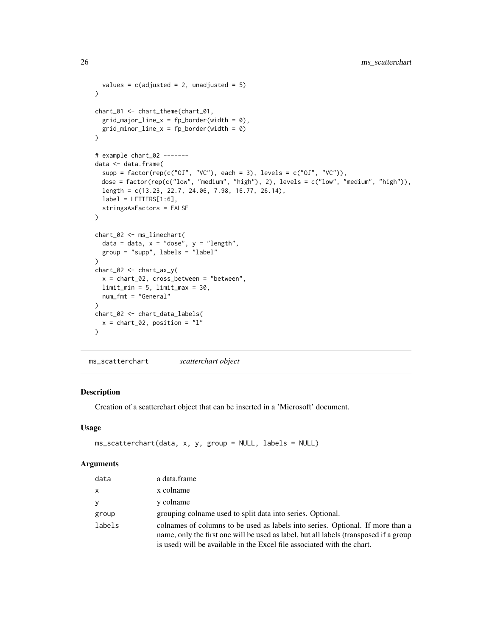```
values = c(adjusted = 2, unadjusted = 5)
)
chart_01 <- chart_theme(chart_01,
  grid\_major\_line_x = fp\_border(width = 0),
  grid\_minor\_line_x = fp\_border(width = 0)\mathcal{L}# example chart_02 -------
data <- data.frame(
  supp = factor(rep(c("0J", "VC"), each = 3), levels = c("0J", "VC")),
  dose = factor(rep(c("low", "medium", "high"), 2), levels = c("low", "medium", "high")),
  length = c(13.23, 22.7, 24.06, 7.98, 16.77, 26.14),
  label = LETTERS[1:6],stringsAsFactors = FALSE
)
chart_02 <- ms_linechart(
 data = data, x = "dose", y = "length",
  group = "supp", labels = "label"
\lambdachart_02 <- chart_ax_y(
  x = chart_02, cross_between = "between",
  limit_min = 5, limit_max = 30,
 num_fmt = "General"
)
chart_02 <- chart_data_labels(
  x = chart_02, position = "l"
)
```

```
ms_scatterchart scatterchart object
```
#### Description

Creation of a scatterchart object that can be inserted in a 'Microsoft' document.

#### Usage

```
ms\_scatterchart(data, x, y, group = NULL, labels = NULL)
```

| data   | a data.frame                                                                                                                                                                                                                                       |
|--------|----------------------------------------------------------------------------------------------------------------------------------------------------------------------------------------------------------------------------------------------------|
| X      | x colname                                                                                                                                                                                                                                          |
| y      | y colname                                                                                                                                                                                                                                          |
| group  | grouping colname used to split data into series. Optional.                                                                                                                                                                                         |
| labels | colnames of columns to be used as labels into series. Optional. If more than a<br>name, only the first one will be used as label, but all labels (transposed if a group<br>is used) will be available in the Excel file associated with the chart. |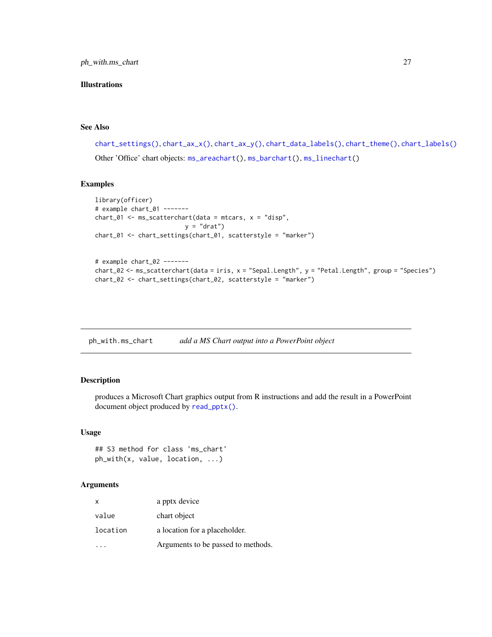<span id="page-26-0"></span>ph\_with.ms\_chart 27

# Illustrations

#### See Also

```
chart_settings(), chart_ax_x(), chart_ax_y(), chart_data_labels(), chart_theme(), chart_labels()
Other 'Office' chart objects: ms_areachart(), ms_barchart(), ms_linechart()
```
# Examples

```
library(officer)
# example chart_01 -------
chart_01 <- ms_scatterchart(data = mtcars, x = "disp",
                        y = "drat")chart_01 <- chart_settings(chart_01, scatterstyle = "marker")
```

```
# example chart_02 -------
chart_02 <- ms_scatterchart(data = iris, x = "Sepal.Length", y = "Petal.Length", group = "Species")
chart_02 <- chart_settings(chart_02, scatterstyle = "marker")
```
<span id="page-26-1"></span>ph\_with.ms\_chart *add a MS Chart output into a PowerPoint object*

# Description

produces a Microsoft Chart graphics output from R instructions and add the result in a PowerPoint document object produced by [read\\_pptx\(\)](#page-0-0).

#### Usage

```
## S3 method for class 'ms_chart'
ph_with(x, value, location, ...)
```

| $\mathsf{x}$ | a pptx device                      |
|--------------|------------------------------------|
| value        | chart object                       |
| location     | a location for a placeholder.      |
|              | Arguments to be passed to methods. |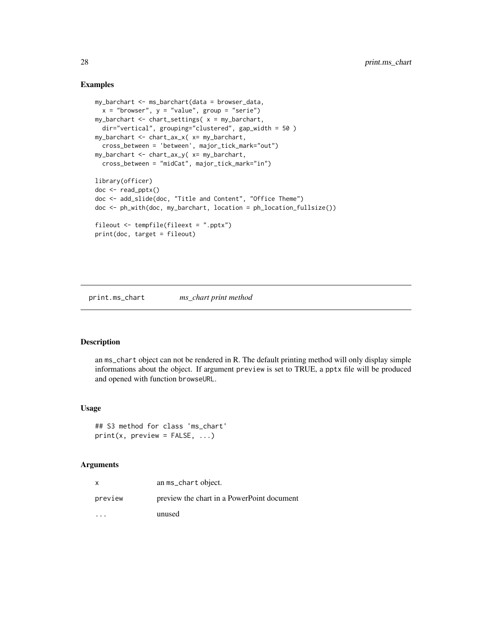#### Examples

```
my_barchart <- ms_barchart(data = browser_data,
  x = "brouser", y = "value", group = "serie")my_barchart <- chart_settings( x = my_barchart,
  dir="vertical", grouping="clustered", gap_width = 50 )
my_barchart <- chart_ax_x( x= my_barchart,
  cross_between = 'between', major_tick_mark="out")
my_barchart <- chart_ax_y( x= my_barchart,
  cross_between = "midCat", major_tick_mark="in")
library(officer)
doc <- read_pptx()
doc <- add_slide(doc, "Title and Content", "Office Theme")
doc <- ph_with(doc, my_barchart, location = ph_location_fullsize())
fileout <- tempfile(fileext = ".pptx")
print(doc, target = fileout)
```
print.ms\_chart *ms\_chart print method*

#### Description

an ms\_chart object can not be rendered in R. The default printing method will only display simple informations about the object. If argument preview is set to TRUE, a pptx file will be produced and opened with function browseURL.

#### Usage

```
## S3 method for class 'ms_chart'
print(x, preview = FALSE, ...)
```

| x       | an ms_chart object.                        |
|---------|--------------------------------------------|
| preview | preview the chart in a PowerPoint document |
|         | unused                                     |

<span id="page-27-0"></span>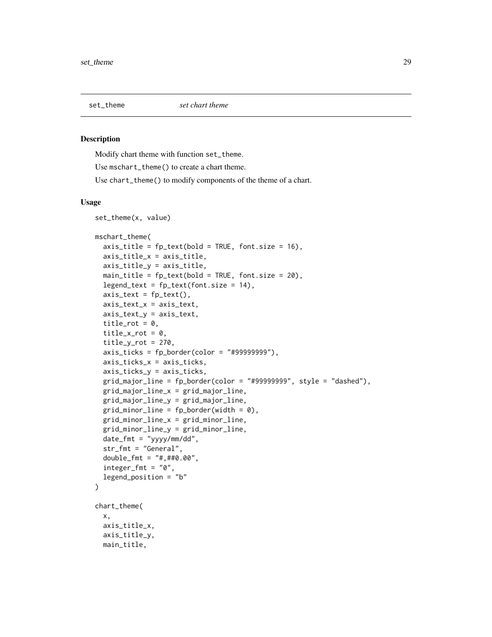<span id="page-28-0"></span>

#### <span id="page-28-1"></span>Description

Modify chart theme with function set\_theme.

Use mschart\_theme() to create a chart theme.

Use chart\_theme() to modify components of the theme of a chart.

#### Usage

```
set_theme(x, value)
mschart_theme(
  axis\_title = fp\_text(bold = TRUE, font.size = 16),
  axis_title_x = axis_title,
  axis_title_y = axis_title,
  main_title = fp_{text{(bold = TRUE, font.size = 20)},
  legend_test = fp_test(font.size = 14),
  axis\_text = fp\_text(),axis_text_x = axis_text,
  axis_text_y = axis_text,
  title_rot = 0,
  title_x_rot = 0.
  title_yrot = 270,axis\_ticks = fp\_border(color = "#9999999"),
  axis_ticks_x = axis_ticks,
  axis_ticks_y = axis_ticks,
  grid\_major\_line = fp\_border(color = "#99999999", style = "dashed"),grid_major_line_x = grid_major_line,
  grid_major_line_y = grid_major_line,
  grid\_minor\_line = fp\_border(width = 0),
  grid_minor_line_x = grid_minor_line,
  grid_minor_line_y = grid_minor_line,
  date_fmt = "yyyy/mm/dd",str_fmt = "General",
  double_fmt = "#,##0.00",
  integer_fmt = "0",legend_position = "b"
\mathcal{L}chart_theme(
  x,
  axis_title_x,
  axis_title_y,
  main_title,
```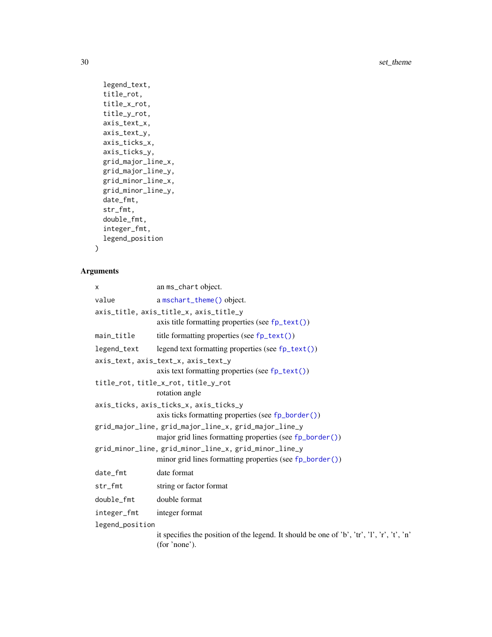<span id="page-29-0"></span>30 set\_theme

```
legend_text,
  title_rot,
  title_x_rot,
 title_y_rot,
  axis_text_x,
  axis_text_y,
 axis_ticks_x,
 axis_ticks_y,
 grid_major_line_x,
 grid_major_line_y,
 grid_minor_line_x,
 grid_minor_line_y,
 date_fmt,
  str_fmt,
  double_fmt,
  integer_fmt,
  legend_position
\mathcal{L}
```

| x               | an ms_chart object.                                                                                         |  |
|-----------------|-------------------------------------------------------------------------------------------------------------|--|
| value           | a mschart_theme() object.                                                                                   |  |
|                 | axis_title, axis_title_x, axis_title_y                                                                      |  |
|                 | axis title formatting properties (see $fp\_text()$ )                                                        |  |
| main_title      | title formatting properties (see $fp\_text()$ )                                                             |  |
| legend_text     | legend text formatting properties (see fp_text())                                                           |  |
|                 | axis_text, axis_text_x, axis_text_y                                                                         |  |
|                 | axis text formatting properties (see fp_text())                                                             |  |
|                 | title_rot, title_x_rot, title_y_rot                                                                         |  |
|                 | rotation angle                                                                                              |  |
|                 | axis_ticks, axis_ticks_x, axis_ticks_y                                                                      |  |
|                 | axis ticks formatting properties (see fp_border())                                                          |  |
|                 | grid_major_line, grid_major_line_x, grid_major_line_y                                                       |  |
|                 | major grid lines formatting properties (see fp_border())                                                    |  |
|                 | grid_minor_line, grid_minor_line_x, grid_minor_line_y                                                       |  |
|                 | minor grid lines formatting properties (see fp_border())                                                    |  |
| date_fmt        | date format                                                                                                 |  |
| str_fmt         | string or factor format                                                                                     |  |
| double_fmt      | double format                                                                                               |  |
| integer_fmt     | integer format                                                                                              |  |
| legend_position |                                                                                                             |  |
|                 | it specifies the position of the legend. It should be one of 'b', 'tr', 'l', 'r', 't', 'n'<br>(for 'none'). |  |
|                 |                                                                                                             |  |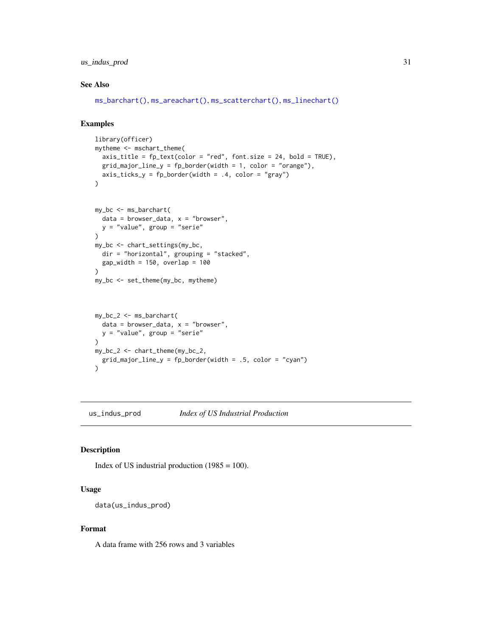# <span id="page-30-0"></span>us\_indus\_prod 31

#### See Also

[ms\\_barchart\(\)](#page-20-1), [ms\\_areachart\(\)](#page-19-1), [ms\\_scatterchart\(\)](#page-25-1), [ms\\_linechart\(\)](#page-23-1)

# Examples

```
library(officer)
mytheme <- mschart_theme(
  axis\_title = fp\_text(color = "red", font.size = 24, bold = TRUE),grid\_major\_line_y = fp\_border(width = 1, color = "orange"),axis\_ticks_y = fp\_border(width = .4, color = "gray"))
```

```
my_bc <- ms_barchart(
  data = browser_data, x = "browser",y = "value", group = "serie"
\lambdamy_bc <- chart_settings(my_bc,
  dir = "horizontal", grouping = "stacked",
 gap_width = 150, overlap = 100
\lambdamy_bc <- set_theme(my_bc, mytheme)
```

```
my_bc_2 <- ms_barchart(
 data = browser_data, x = "browser",y = "value", group = "serie"
)
my_bc_2 <- chart_theme(my_bc_2,
  grid_major_line_y = fp_border(width = .5, color = "cyan")
)
```
us\_indus\_prod *Index of US Industrial Production*

#### Description

Index of US industrial production  $(1985 = 100)$ .

### Usage

data(us\_indus\_prod)

#### Format

A data frame with 256 rows and 3 variables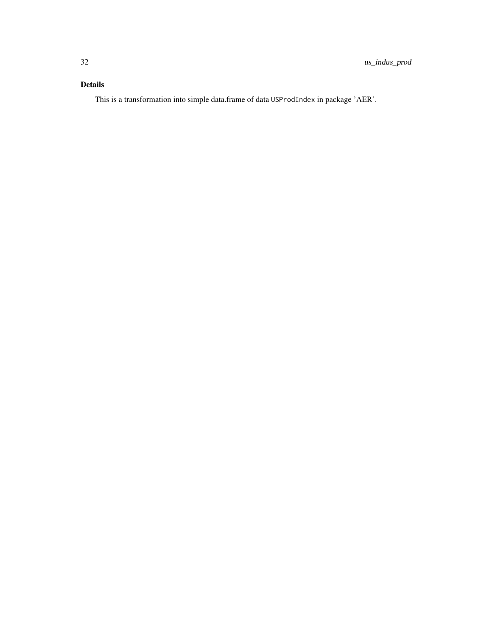# Details

This is a transformation into simple data.frame of data USProdIndex in package 'AER'.